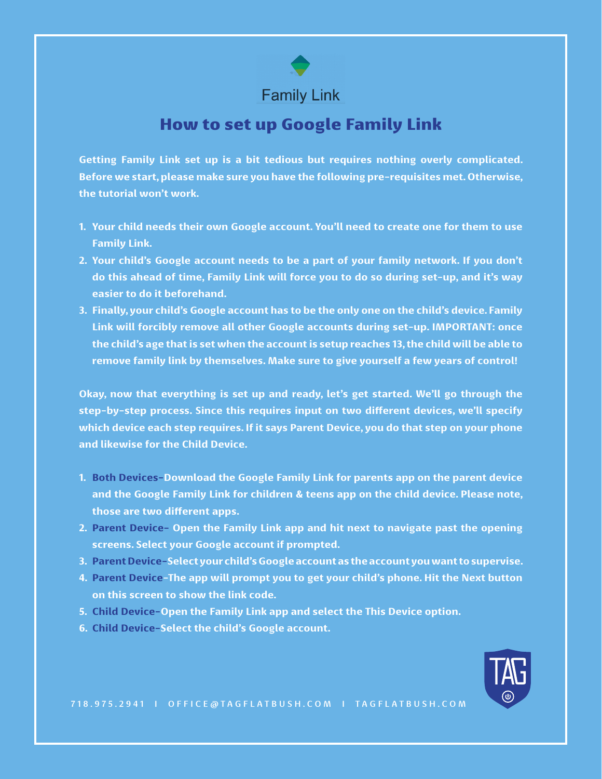# **Family Link**

## How to set up Google Family Link

**Getting Family Link set up is a bit tedious but requires nothing overly complicated. Before we start, please make sure you have the following pre-requisites met. Otherwise, the tutorial won't work.**

- **1. Your child needs their own Google account. You'll need to create one for them to use Family Link.**
- **2. Your child's Google account needs to be a part of your family network. If you don't do this ahead of time, Family Link will force you to do so during set-up, and it's way easier to do it beforehand.**
- **3. Finally, your child's Google account has to be the only one on the child's device. Family Link will forcibly remove all other Google accounts during set-up. IMPORTANT: once the child's age that is set when the account is setup reaches 13, the child will be able to remove family link by themselves. Make sure to give yourself a few years of control!**

**Okay, now that everything is set up and ready, let's get started. We'll go through the step-by-step process. Since this requires input on two different devices, we'll specify which device each step requires. If it says Parent Device, you do that step on your phone and likewise for the Child Device.**

- **1. Both Devices-Download the Google Family Link for parents app on the parent device and the Google Family Link for children & teens app on the child device. Please note, those are two different apps.**
- **2. Parent Device- Open the Family Link app and hit next to navigate past the opening screens. Select your Google account if prompted.**
- **3. Parent Device-Select your child's Google account as the account you want to supervise.**
- **4. Parent Device-The app will prompt you to get your child's phone. Hit the Next button on this screen to show the link code.**
- **5. Child Device-Open the Family Link app and select the This Device option.**
- **6. Child Device-Select the child's Google account.**

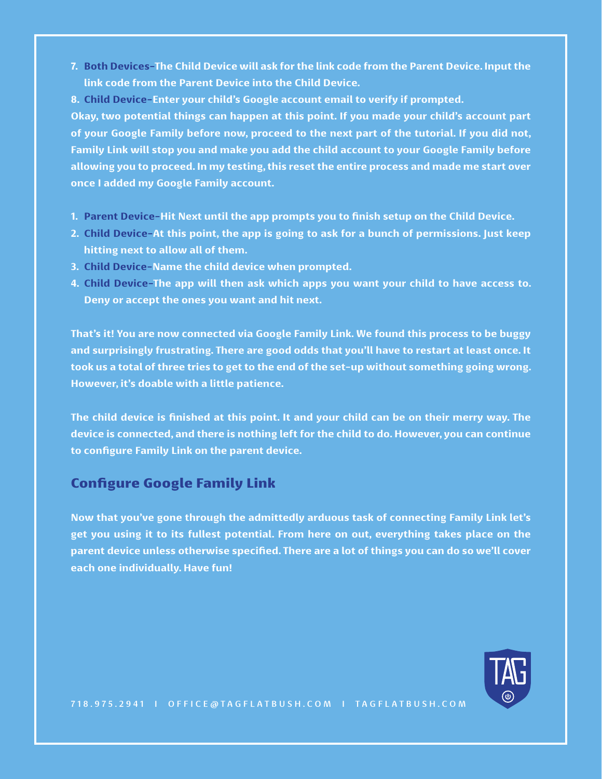- **7. Both Devices-The Child Device will ask for the link code from the Parent Device. Input the link code from the Parent Device into the Child Device.**
- **8. Child Device-Enter your child's Google account email to verify if prompted.**

**Okay, two potential things can happen at this point. If you made your child's account part of your Google Family before now, proceed to the next part of the tutorial. If you did not, Family Link will stop you and make you add the child account to your Google Family before allowing you to proceed. In my testing, this reset the entire process and made me start over once I added my Google Family account.**

- **1. Parent Device-Hit Next until the app prompts you to finish setup on the Child Device.**
- **2. Child Device-At this point, the app is going to ask for a bunch of permissions. Just keep hitting next to allow all of them.**
- **3. Child Device-Name the child device when prompted.**
- **4. Child Device-The app will then ask which apps you want your child to have access to. Deny or accept the ones you want and hit next.**

**That's it! You are now connected via Google Family Link. We found this process to be buggy and surprisingly frustrating. There are good odds that you'll have to restart at least once. It took us a total of three tries to get to the end of the set-up without something going wrong. However, it's doable with a little patience.**

**The child device is finished at this point. It and your child can be on their merry way. The device is connected, and there is nothing left for the child to do. However, you can continue to configure Family Link on the parent device.**

## Configure Google Family Link

**Now that you've gone through the admittedly arduous task of connecting Family Link let's get you using it to its fullest potential. From here on out, everything takes place on the parent device unless otherwise specified. There are a lot of things you can do so we'll cover each one individually. Have fun!**

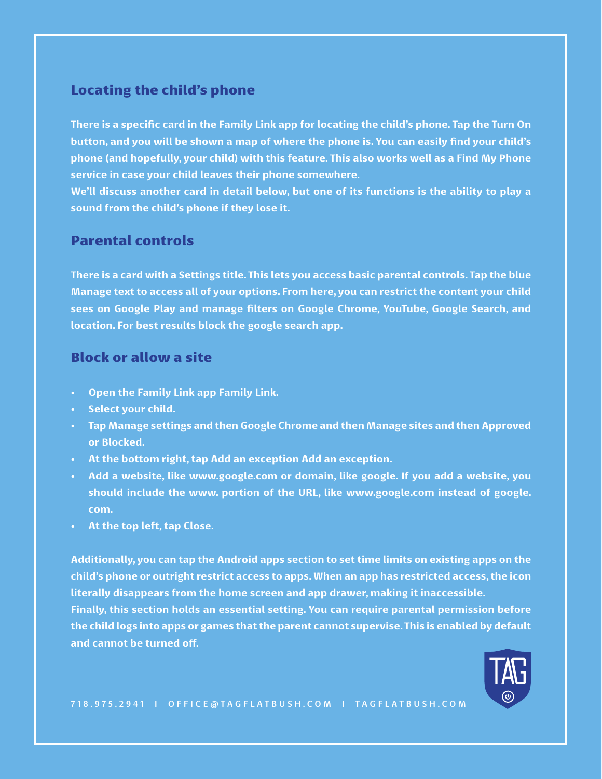### Locating the child's phone

**There is a specific card in the Family Link app for locating the child's phone. Tap the Turn On button, and you will be shown a map of where the phone is. You can easily find your child's phone (and hopefully, your child) with this feature. This also works well as a Find My Phone service in case your child leaves their phone somewhere.**

**We'll discuss another card in detail below, but one of its functions is the ability to play a sound from the child's phone if they lose it.**

#### Parental controls

**There is a card with a Settings title. This lets you access basic parental controls. Tap the blue Manage text to access all of your options. From here, you can restrict the content your child sees on Google Play and manage filters on Google Chrome, YouTube, Google Search, and location. For best results block the google search app.**

#### Block or allow a site

- **• Open the Family Link app Family Link.**
- **• Select your child.**
- **• Tap Manage settings and then Google Chrome and then Manage sites and then Approved or Blocked.**
- **• At the bottom right, tap Add an exception Add an exception.**
- **• Add a website, like www.google.com or domain, like google. If you add a website, you should include the www. portion of the URL, like www.google.com instead of google. com.**
- **• At the top left, tap Close.**

**Additionally, you can tap the Android apps section to set time limits on existing apps on the child's phone or outright restrict access to apps. When an app has restricted access, the icon literally disappears from the home screen and app drawer, making it inaccessible. Finally, this section holds an essential setting. You can require parental permission before the child logs into apps or games that the parent cannot supervise. This is enabled by default and cannot be turned off.**